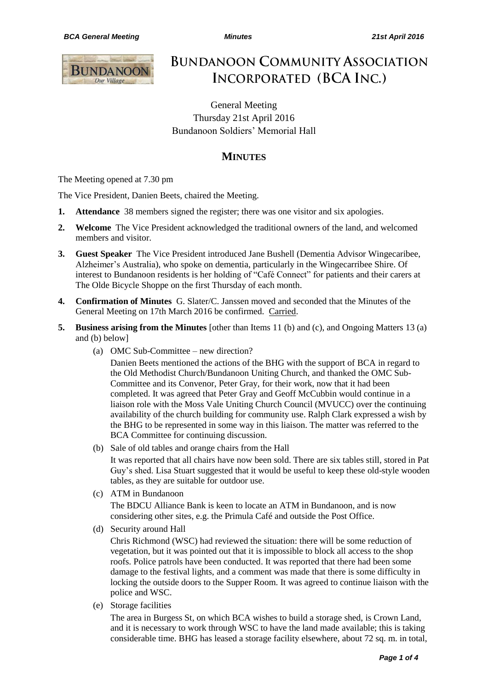

# **BUNDANOON COMMUNITY ASSOCIATION** INCORPORATED (BCA INC.)

General Meeting Thursday 21st April 2016 Bundanoon Soldiers' Memorial Hall

## **MINUTES**

The Meeting opened at 7.30 pm

The Vice President, Danien Beets, chaired the Meeting.

- **1. Attendance** 38 members signed the register; there was one visitor and six apologies.
- **2. Welcome** The Vice President acknowledged the traditional owners of the land, and welcomed members and visitor.
- **3. Guest Speaker** The Vice President introduced Jane Bushell (Dementia Advisor Wingecaribee, Alzheimer's Australia), who spoke on dementia, particularly in the Wingecarribee Shire. Of interest to Bundanoon residents is her holding of "Café Connect" for patients and their carers at The Olde Bicycle Shoppe on the first Thursday of each month.
- **4. Confirmation of Minutes** G. Slater/C. Janssen moved and seconded that the Minutes of the General Meeting on 17th March 2016 be confirmed. Carried.
- **5. Business arising from the Minutes** [other than Items 11 (b) and (c), and Ongoing Matters 13 (a) and (b) below]
	- (a) OMC Sub-Committee new direction?

Danien Beets mentioned the actions of the BHG with the support of BCA in regard to the Old Methodist Church/Bundanoon Uniting Church, and thanked the OMC Sub-Committee and its Convenor, Peter Gray, for their work, now that it had been completed. It was agreed that Peter Gray and Geoff McCubbin would continue in a liaison role with the Moss Vale Uniting Church Council (MVUCC) over the continuing availability of the church building for community use. Ralph Clark expressed a wish by the BHG to be represented in some way in this liaison. The matter was referred to the BCA Committee for continuing discussion.

(b) Sale of old tables and orange chairs from the Hall

It was reported that all chairs have now been sold. There are six tables still, stored in Pat Guy's shed. Lisa Stuart suggested that it would be useful to keep these old-style wooden tables, as they are suitable for outdoor use.

(c) ATM in Bundanoon

The BDCU Alliance Bank is keen to locate an ATM in Bundanoon, and is now considering other sites, e.g. the Primula Café and outside the Post Office.

(d) Security around Hall

Chris Richmond (WSC) had reviewed the situation: there will be some reduction of vegetation, but it was pointed out that it is impossible to block all access to the shop roofs. Police patrols have been conducted. It was reported that there had been some damage to the festival lights, and a comment was made that there is some difficulty in locking the outside doors to the Supper Room. It was agreed to continue liaison with the police and WSC.

(e) Storage facilities

The area in Burgess St, on which BCA wishes to build a storage shed, is Crown Land, and it is necessary to work through WSC to have the land made available; this is taking considerable time. BHG has leased a storage facility elsewhere, about 72 sq. m. in total,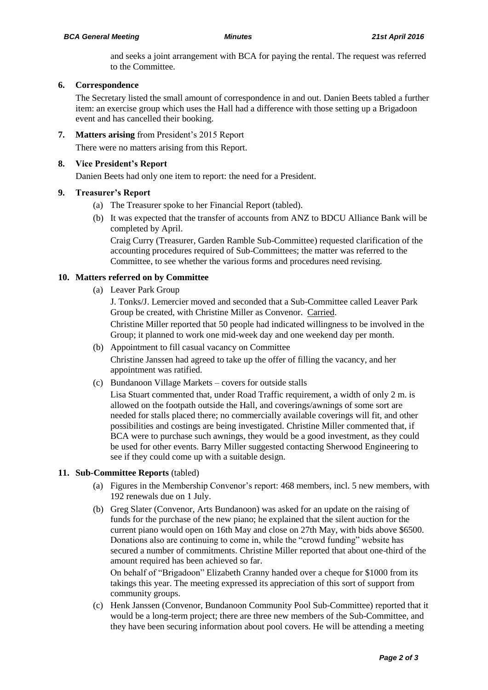and seeks a joint arrangement with BCA for paying the rental. The request was referred to the Committee.

#### **6. Correspondence**

The Secretary listed the small amount of correspondence in and out. Danien Beets tabled a further item: an exercise group which uses the Hall had a difference with those setting up a Brigadoon event and has cancelled their booking.

### **7. Matters arising** from President's 2015 Report

There were no matters arising from this Report.

#### **8. Vice President's Report**

Danien Beets had only one item to report: the need for a President.

#### **9. Treasurer's Report**

- (a) The Treasurer spoke to her Financial Report (tabled).
- (b) It was expected that the transfer of accounts from ANZ to BDCU Alliance Bank will be completed by April.

Craig Curry (Treasurer, Garden Ramble Sub-Committee) requested clarification of the accounting procedures required of Sub-Committees; the matter was referred to the Committee, to see whether the various forms and procedures need revising.

#### **10. Matters referred on by Committee**

(a) Leaver Park Group

J. Tonks/J. Lemercier moved and seconded that a Sub-Committee called Leaver Park Group be created, with Christine Miller as Convenor. Carried.

Christine Miller reported that 50 people had indicated willingness to be involved in the Group; it planned to work one mid-week day and one weekend day per month.

- (b) Appointment to fill casual vacancy on Committee Christine Janssen had agreed to take up the offer of filling the vacancy, and her appointment was ratified.
- (c) Bundanoon Village Markets covers for outside stalls

Lisa Stuart commented that, under Road Traffic requirement, a width of only 2 m. is allowed on the footpath outside the Hall, and coverings/awnings of some sort are needed for stalls placed there; no commercially available coverings will fit, and other possibilities and costings are being investigated. Christine Miller commented that, if BCA were to purchase such awnings, they would be a good investment, as they could be used for other events. Barry Miller suggested contacting Sherwood Engineering to see if they could come up with a suitable design.

#### **11. Sub-Committee Reports** (tabled)

- (a) Figures in the Membership Convenor's report: 468 members, incl. 5 new members, with 192 renewals due on 1 July.
- (b) Greg Slater (Convenor, Arts Bundanoon) was asked for an update on the raising of funds for the purchase of the new piano; he explained that the silent auction for the current piano would open on 16th May and close on 27th May, with bids above \$6500. Donations also are continuing to come in, while the "crowd funding" website has secured a number of commitments. Christine Miller reported that about one-third of the amount required has been achieved so far.

On behalf of "Brigadoon" Elizabeth Cranny handed over a cheque for \$1000 from its takings this year. The meeting expressed its appreciation of this sort of support from community groups.

(c) Henk Janssen (Convenor, Bundanoon Community Pool Sub-Committee) reported that it would be a long-term project; there are three new members of the Sub-Committee, and they have been securing information about pool covers. He will be attending a meeting